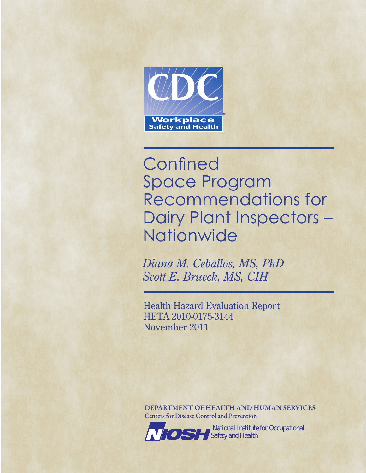

## **Confined** Space Program Recommendations for Dairy Plant Inspectors – **Nationwide**

*Diana M. Ceballos, MS, PhD Scott E. Brueck, MS, CIH*

Health Hazard Evaluation Report HETA 2010-0175-3144 November 2011

DEPARTMENT OF HEALTH AND HUMAN SERVICES Centers for Disease Control and Prevention

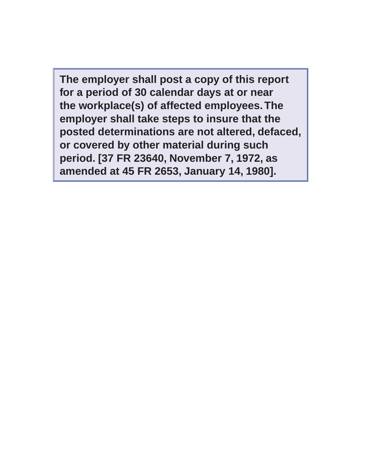**The employer shall post a copy of this report for a period of 30 calendar days at or near the workplace(s) of affected employees. The employer shall take steps to insure that the posted determinations are not altered, defaced, or covered by other material during such period. [37 FR 23640, November 7, 1972, as amended at 45 FR 2653, January 14, 1980].**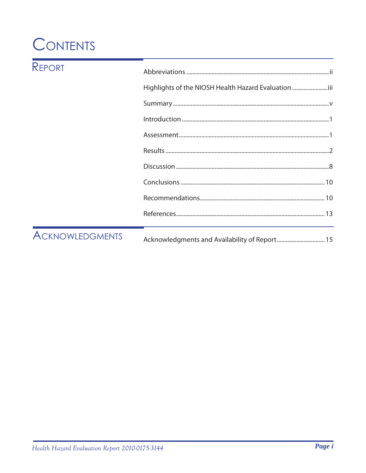## CONTENTS

| <b>REPORT</b>   |                                                      |
|-----------------|------------------------------------------------------|
|                 | Highlights of the NIOSH Health Hazard Evaluation iii |
|                 |                                                      |
|                 |                                                      |
|                 |                                                      |
|                 |                                                      |
|                 |                                                      |
|                 |                                                      |
|                 |                                                      |
|                 |                                                      |
| ACKNOWLEDGMENTS | Acknowledgments and Availability of Report 15        |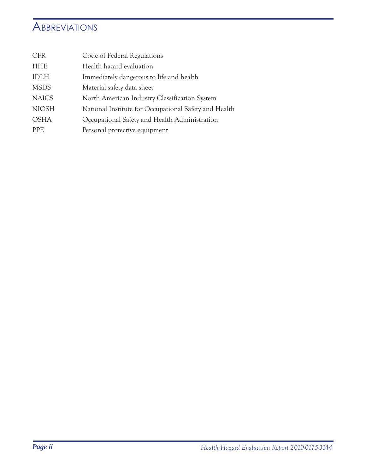### <span id="page-3-0"></span>**ABBREVIATIONS**

| Code of Federal Regulations                           |
|-------------------------------------------------------|
| Health hazard evaluation                              |
| Immediately dangerous to life and health              |
| Material safety data sheet                            |
| North American Industry Classification System         |
| National Institute for Occupational Safety and Health |
| Occupational Safety and Health Administration         |
| Personal protective equipment                         |
|                                                       |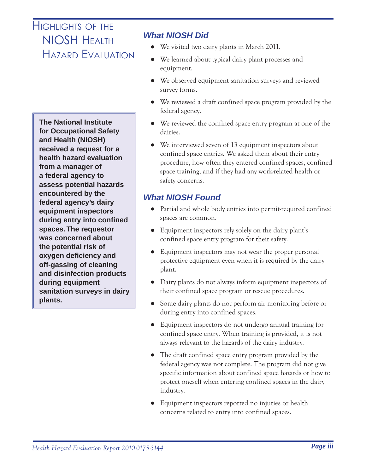### <span id="page-4-0"></span>Highlights of the NIOSH Health Hazard Evaluation

**The National Institute for Occupational Safety and Health (NIOSH) received a request for a health hazard evaluation from a manager of a federal agency to assess potential hazards encountered by the federal agency's dairy equipment inspectors during entry into confined spaces. The requestor was concerned about the potential risk of oxygen deficiency and off-gassing of cleaning and disinfection products during equipment sanitation surveys in dairy plants.**

#### *What NIOSH Did*

- **●** We visited two dairy plants in March 2011.
- **●** We learned about typical dairy plant processes and equipment.
- **●** We observed equipment sanitation surveys and reviewed survey forms.
- **●** We reviewed a draft confined space program provided by the federal agency.
- **●** We reviewed the confined space entry program at one of the dairies.
- **●** We interviewed seven of 13 equipment inspectors about confined space entries. We asked them about their entry procedure, how often they entered confined spaces, confined space training, and if they had any work-related health or safety concerns.

#### *What NIOSH Found*

- **●** Partial and whole body entries into permit-required confined spaces are common.
- **●** Equipment inspectors rely solely on the dairy plant's confined space entry program for their safety.
- **●** Equipment inspectors may not wear the proper personal protective equipment even when it is required by the dairy plant.
- **●** Dairy plants do not always inform equipment inspectors of their confined space program or rescue procedures.
- **●** Some dairy plants do not perform air monitoring before or during entry into confined spaces.
- **●** Equipment inspectors do not undergo annual training for confined space entry. When training is provided, it is not always relevant to the hazards of the dairy industry.
- **●** The draft confined space entry program provided by the federal agency was not complete. The program did not give specific information about confined space hazards or how to protect oneself when entering confined spaces in the dairy industry.
- **●** Equipment inspectors reported no injuries or health concerns related to entry into confined spaces.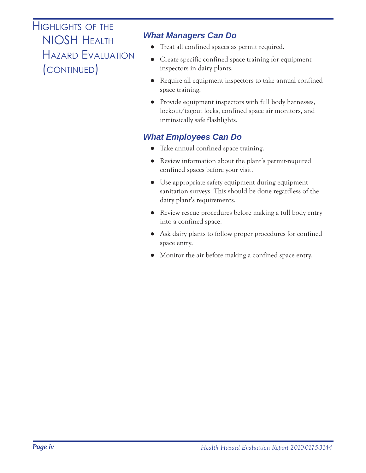<span id="page-5-0"></span>Highlights of the NIOSH Health Hazard Evaluation (continued)

#### *What Managers Can Do*

- **●** Treat all confined spaces as permit required.
- **●** Create specific confined space training for equipment inspectors in dairy plants.
- **●** Require all equipment inspectors to take annual confined space training.
- **●** Provide equipment inspectors with full body harnesses, lockout/tagout locks, confined space air monitors, and intrinsically safe flashlights.

#### *What Employees Can Do*

- **●** Take annual confined space training.
- **●** Review information about the plant's permit-required confined spaces before your visit.
- **●** Use appropriate safety equipment during equipment sanitation surveys. This should be done regardless of the dairy plant's requirements.
- **●** Review rescue procedures before making a full body entry into a confined space.
- **●** Ask dairy plants to follow proper procedures for confined space entry.
- **●** Monitor the air before making a confined space entry.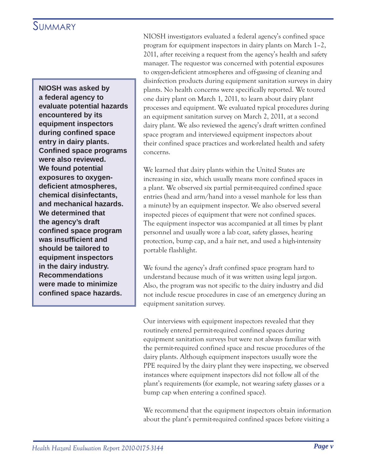### Summary

**NIOSH was asked by a federal agency to evaluate potential hazards encountered by its equipment inspectors during confined space entry in dairy plants. Confined space programs were also reviewed. We found potential exposures to oxygendeficient atmospheres, chemical disinfectants, and mechanical hazards. We determined that the agency's draft confined space program was insufficient and should be tailored to equipment inspectors in the dairy industry. Recommendations were made to minimize confined space hazards.**

NIOSH investigators evaluated a federal agency's confined space program for equipment inspectors in dairy plants on March 1–2, 2011, after receiving a request from the agency's health and safety manager. The requestor was concerned with potential exposures to oxygen-deficient atmospheres and off-gassing of cleaning and disinfection products during equipment sanitation surveys in dairy plants. No health concerns were specifically reported. We toured one dairy plant on March 1, 2011, to learn about dairy plant processes and equipment. We evaluated typical procedures during an equipment sanitation survey on March 2, 2011, at a second dairy plant. We also reviewed the agency's draft written confined space program and interviewed equipment inspectors about their confined space practices and work-related health and safety concerns.

We learned that dairy plants within the United States are increasing in size, which usually means more confined spaces in a plant. We observed six partial permit-required confined space entries (head and arm/hand into a vessel manhole for less than a minute) by an equipment inspector. We also observed several inspected pieces of equipment that were not confined spaces. The equipment inspector was accompanied at all times by plant personnel and usually wore a lab coat, safety glasses, hearing protection, bump cap, and a hair net, and used a high-intensity portable flashlight.

We found the agency's draft confined space program hard to understand because much of it was written using legal jargon. Also, the program was not specific to the dairy industry and did not include rescue procedures in case of an emergency during an equipment sanitation survey.

Our interviews with equipment inspectors revealed that they routinely entered permit-required confined spaces during equipment sanitation surveys but were not always familiar with the permit-required confined space and rescue procedures of the dairy plants. Although equipment inspectors usually wore the PPE required by the dairy plant they were inspecting, we observed instances where equipment inspectors did not follow all of the plant's requirements (for example, not wearing safety glasses or a bump cap when entering a confined space).

We recommend that the equipment inspectors obtain information about the plant's permit-required confined spaces before visiting a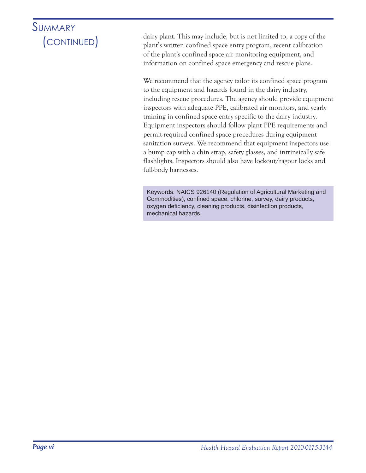# **SUMMARY**

(CONTINUED) dairy plant. This may include, but is not limited to, a copy of the plant's written confined space entry program, recent calibration plant's written confined space entry program, recent calibration of the plant's confined space air monitoring equipment, and information on confined space emergency and rescue plans.

> We recommend that the agency tailor its confined space program to the equipment and hazards found in the dairy industry, including rescue procedures. The agency should provide equipment inspectors with adequate PPE, calibrated air monitors, and yearly training in confined space entry specific to the dairy industry. Equipment inspectors should follow plant PPE requirements and permit-required confined space procedures during equipment sanitation surveys. We recommend that equipment inspectors use a bump cap with a chin strap, safety glasses, and intrinsically safe flashlights. Inspectors should also have lockout/tagout locks and full-body harnesses.

Keywords: NAICS 926140 (Regulation of Agricultural Marketing and Commodities), confined space, chlorine, survey, dairy products, oxygen deficiency, cleaning products, disinfection products, mechanical hazards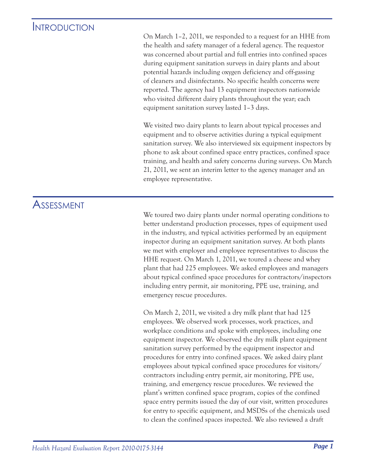#### <span id="page-8-0"></span>**INTRODUCTION**

On March 1–2, 2011, we responded to a request for an HHE from the health and safety manager of a federal agency. The requestor was concerned about partial and full entries into confined spaces during equipment sanitation surveys in dairy plants and about potential hazards including oxygen deficiency and off-gassing of cleaners and disinfectants. No specific health concerns were reported. The agency had 13 equipment inspectors nationwide who visited different dairy plants throughout the year; each equipment sanitation survey lasted 1–3 days.

We visited two dairy plants to learn about typical processes and equipment and to observe activities during a typical equipment sanitation survey. We also interviewed six equipment inspectors by phone to ask about confined space entry practices, confined space training, and health and safety concerns during surveys. On March 21, 2011, we sent an interim letter to the agency manager and an employee representative.

We toured two dairy plants under normal operating conditions to better understand production processes, types of equipment used in the industry, and typical activities performed by an equipment inspector during an equipment sanitation survey. At both plants we met with employer and employee representatives to discuss the HHE request. On March 1, 2011, we toured a cheese and whey plant that had 225 employees. We asked employees and managers about typical confined space procedures for contractors/inspectors including entry permit, air monitoring, PPE use, training, and emergency rescue procedures.

On March 2, 2011, we visited a dry milk plant that had 125 employees. We observed work processes, work practices, and workplace conditions and spoke with employees, including one equipment inspector. We observed the dry milk plant equipment sanitation survey performed by the equipment inspector and procedures for entry into confined spaces. We asked dairy plant employees about typical confined space procedures for visitors/ contractors including entry permit, air monitoring, PPE use, training, and emergency rescue procedures. We reviewed the plant's written confined space program, copies of the confined space entry permits issued the day of our visit, written procedures for entry to specific equipment, and MSDSs of the chemicals used to clean the confined spaces inspected. We also reviewed a draft

### **ASSESSMENT**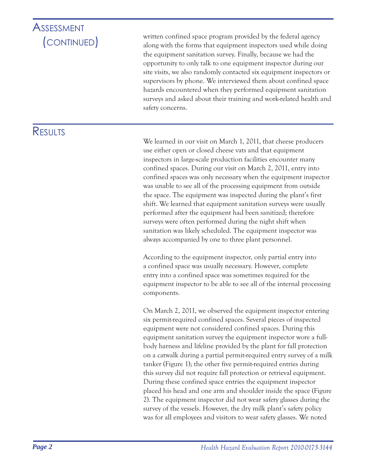## **ASSESSMENT**

(CONTINUED) written confined space program provided by the federal agency along with the forms that equipment inspectors used while doing the equipment sanitation survey. Finally, because we had the opportunity to only talk to one equipment inspector during our site visits, we also randomly contacted six equipment inspectors or supervisors by phone. We interviewed them about confined space hazards encountered when they performed equipment sanitation surveys and asked about their training and work-related health and safety concerns.

#### **RESULTS**

We learned in our visit on March 1, 2011, that cheese producers use either open or closed cheese vats and that equipment inspectors in large-scale production facilities encounter many confined spaces. During our visit on March 2, 2011, entry into confined spaces was only necessary when the equipment inspector was unable to see all of the processing equipment from outside the space. The equipment was inspected during the plant's first shift. We learned that equipment sanitation surveys were usually performed after the equipment had been sanitized; therefore surveys were often performed during the night shift when sanitation was likely scheduled. The equipment inspector was always accompanied by one to three plant personnel.

According to the equipment inspector, only partial entry into a confined space was usually necessary. However, complete entry into a confined space was sometimes required for the equipment inspector to be able to see all of the internal processing components.

On March 2, 2011, we observed the equipment inspector entering six permit-required confined spaces. Several pieces of inspected equipment were not considered confined spaces. During this equipment sanitation survey the equipment inspector wore a fullbody harness and lifeline provided by the plant for fall protection on a catwalk during a partial permit-required entry survey of a milk tanker (Figure 1); the other five permit-required entries during this survey did not require fall protection or retrieval equipment. During these confined space entries the equipment inspector placed his head and one arm and shoulder inside the space (Figure 2). The equipment inspector did not wear safety glasses during the survey of the vessels. However, the dry milk plant's safety policy was for all employees and visitors to wear safety glasses. We noted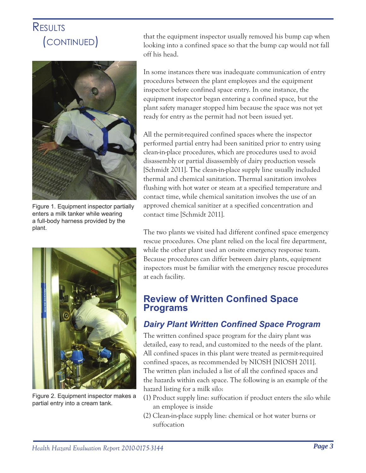## **RESULTS** (continued)



Figure 1. Equipment inspector partially enters a milk tanker while wearing a full-body harness provided by the plant.



Figure 2. Equipment inspector makes a partial entry into a cream tank.

that the equipment inspector usually removed his bump cap when looking into a confined space so that the bump cap would not fall off his head.

In some instances there was inadequate communication of entry procedures between the plant employees and the equipment inspector before confined space entry. In one instance, the equipment inspector began entering a confined space, but the plant safety manager stopped him because the space was not yet ready for entry as the permit had not been issued yet.

All the permit-required confined spaces where the inspector performed partial entry had been sanitized prior to entry using clean-in-place procedures, which are procedures used to avoid disassembly or partial disassembly of dairy production vessels [Schmidt 2011]. The clean-in-place supply line usually included thermal and chemical sanitation. Thermal sanitation involves flushing with hot water or steam at a specified temperature and contact time, while chemical sanitation involves the use of an approved chemical sanitizer at a specified concentration and contact time [Schmidt 2011].

The two plants we visited had different confined space emergency rescue procedures. One plant relied on the local fire department, while the other plant used an onsite emergency response team. Because procedures can differ between dairy plants, equipment inspectors must be familiar with the emergency rescue procedures at each facility.

#### **Review of Written Confined Space Programs**

#### *Dairy Plant Written Confined Space Program*

The written confined space program for the dairy plant was detailed, easy to read, and customized to the needs of the plant. All confined spaces in this plant were treated as permit-required confined spaces, as recommended by NIOSH [NIOSH 2011]. The written plan included a list of all the confined spaces and the hazards within each space. The following is an example of the hazard listing for a milk silo:

- (1) Product supply line: suffocation if product enters the silo while an employee is inside
- (2) Clean-in-place supply line: chemical or hot water burns or suffocation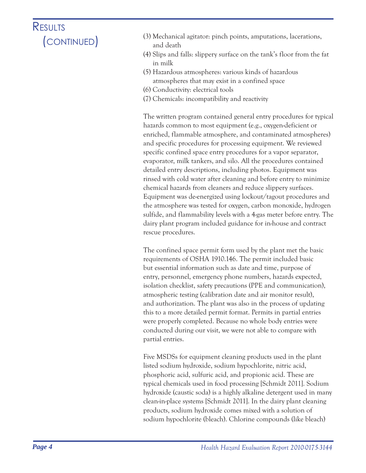- (CONTINUED) (3) Mechanical agitator: pinch points, amputations, lacerations, and death
	- (4) Slips and falls: slippery surface on the tank's floor from the fat in milk
	- (5) Hazardous atmospheres: various kinds of hazardous atmospheres that may exist in a confined space
	- (6) Conductivity: electrical tools
	- (7) Chemicals: incompatibility and reactivity

The written program contained general entry procedures for typical hazards common to most equipment (e.g., oxygen-deficient or enriched, flammable atmosphere, and contaminated atmospheres) and specific procedures for processing equipment. We reviewed specific confined space entry procedures for a vapor separator, evaporator, milk tankers, and silo. All the procedures contained detailed entry descriptions, including photos. Equipment was rinsed with cold water after cleaning and before entry to minimize chemical hazards from cleaners and reduce slippery surfaces. Equipment was de-energized using lockout/tagout procedures and the atmosphere was tested for oxygen, carbon monoxide, hydrogen sulfide, and flammability levels with a 4-gas meter before entry. The dairy plant program included guidance for in-house and contract rescue procedures.

The confined space permit form used by the plant met the basic requirements of OSHA 1910.146. The permit included basic but essential information such as date and time, purpose of entry, personnel, emergency phone numbers, hazards expected, isolation checklist, safety precautions (PPE and communication), atmospheric testing (calibration date and air monitor result), and authorization. The plant was also in the process of updating this to a more detailed permit format. Permits in partial entries were properly completed. Because no whole body entries were conducted during our visit, we were not able to compare with partial entries.

Five MSDSs for equipment cleaning products used in the plant listed sodium hydroxide, sodium hypochlorite, nitric acid, phosphoric acid, sulfuric acid, and propionic acid. These are typical chemicals used in food processing [Schmidt 2011]. Sodium hydroxide (caustic soda) is a highly alkaline detergent used in many clean-in-place systems [Schmidt 2011]. In the dairy plant cleaning products, sodium hydroxide comes mixed with a solution of sodium hypochlorite (bleach). Chlorine compounds (like bleach)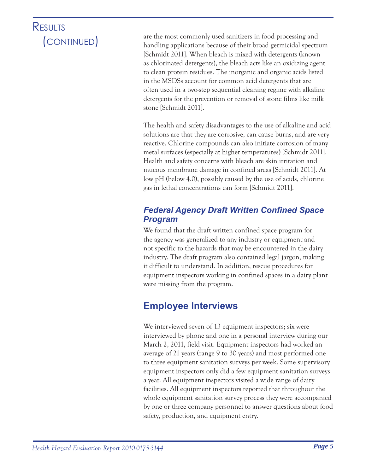(CONTINUED) are the most commonly used sanitizers in food processing and<br>
and handling applications because of their broad germicidal spectrum handling applications because of their broad germicidal spectrum [Schmidt 2011]. When bleach is mixed with detergents (known as chlorinated detergents), the bleach acts like an oxidizing agent to clean protein residues. The inorganic and organic acids listed in the MSDSs account for common acid detergents that are often used in a two-step sequential cleaning regime with alkaline detergents for the prevention or removal of stone films like milk stone [Schmidt 2011].

> The health and safety disadvantages to the use of alkaline and acid solutions are that they are corrosive, can cause burns, and are very reactive. Chlorine compounds can also initiate corrosion of many metal surfaces (especially at higher temperatures) [Schmidt 2011]. Health and safety concerns with bleach are skin irritation and mucous membrane damage in confined areas [Schmidt 2011]. At low pH (below 4.0), possibly caused by the use of acids, chlorine gas in lethal concentrations can form [Schmidt 2011].

#### *Federal Agency Draft Written Confined Space Program*

We found that the draft written confined space program for the agency was generalized to any industry or equipment and not specific to the hazards that may be encountered in the dairy industry. The draft program also contained legal jargon, making it difficult to understand. In addition, rescue procedures for equipment inspectors working in confined spaces in a dairy plant were missing from the program.

#### **Employee Interviews**

We interviewed seven of 13 equipment inspectors; six were interviewed by phone and one in a personal interview during our March 2, 2011, field visit. Equipment inspectors had worked an average of 21 years (range 9 to 30 years) and most performed one to three equipment sanitation surveys per week. Some supervisory equipment inspectors only did a few equipment sanitation surveys a year. All equipment inspectors visited a wide range of dairy facilities. All equipment inspectors reported that throughout the whole equipment sanitation survey process they were accompanied by one or three company personnel to answer questions about food safety, production, and equipment entry.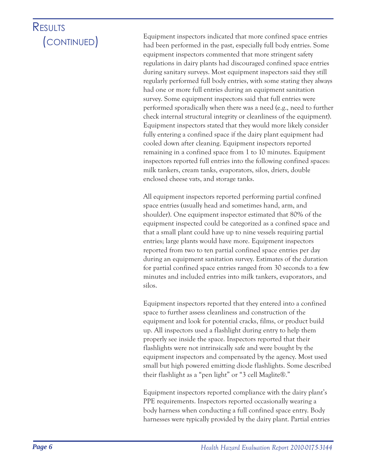Equipment inspectors indicated that more confined space entries<br>
Lead been performed in the past especially full body entries. Some had been performed in the past, especially full body entries. Some equipment inspectors commented that more stringent safety regulations in dairy plants had discouraged confined space entries during sanitary surveys. Most equipment inspectors said they still regularly performed full body entries, with some stating they always had one or more full entries during an equipment sanitation survey. Some equipment inspectors said that full entries were performed sporadically when there was a need (e.g., need to further check internal structural integrity or cleanliness of the equipment). Equipment inspectors stated that they would more likely consider fully entering a confined space if the dairy plant equipment had cooled down after cleaning. Equipment inspectors reported remaining in a confined space from 1 to 10 minutes. Equipment inspectors reported full entries into the following confined spaces: milk tankers, cream tanks, evaporators, silos, driers, double enclosed cheese vats, and storage tanks.

> All equipment inspectors reported performing partial confined space entries (usually head and sometimes hand, arm, and shoulder). One equipment inspector estimated that 80% of the equipment inspected could be categorized as a confined space and that a small plant could have up to nine vessels requiring partial entries; large plants would have more. Equipment inspectors reported from two to ten partial confined space entries per day during an equipment sanitation survey. Estimates of the duration for partial confined space entries ranged from 30 seconds to a few minutes and included entries into milk tankers, evaporators, and silos.

> Equipment inspectors reported that they entered into a confined space to further assess cleanliness and construction of the equipment and look for potential cracks, films, or product build up. All inspectors used a flashlight during entry to help them properly see inside the space. Inspectors reported that their flashlights were not intrinsically safe and were bought by the equipment inspectors and compensated by the agency. Most used small but high powered emitting diode flashlights. Some described their flashlight as a "pen light" or "3 cell Maglite®."

> Equipment inspectors reported compliance with the dairy plant's PPE requirements. Inspectors reported occasionally wearing a body harness when conducting a full confined space entry. Body harnesses were typically provided by the dairy plant. Partial entries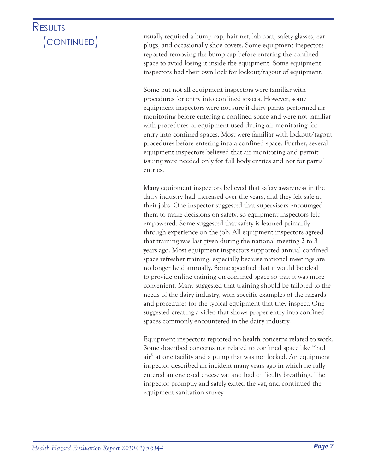(CONTINUED) usually required a bump cap, hair net, lab coat, safety glasses, ear<br>plugs, and occasionally shoe covers. Some equipment inspectors plugs, and occasionally shoe covers. Some equipment inspectors reported removing the bump cap before entering the confined space to avoid losing it inside the equipment. Some equipment inspectors had their own lock for lockout/tagout of equipment.

> Some but not all equipment inspectors were familiar with procedures for entry into confined spaces. However, some equipment inspectors were not sure if dairy plants performed air monitoring before entering a confined space and were not familiar with procedures or equipment used during air monitoring for entry into confined spaces. Most were familiar with lockout/tagout procedures before entering into a confined space. Further, several equipment inspectors believed that air monitoring and permit issuing were needed only for full body entries and not for partial entries.

> Many equipment inspectors believed that safety awareness in the dairy industry had increased over the years, and they felt safe at their jobs. One inspector suggested that supervisors encouraged them to make decisions on safety, so equipment inspectors felt empowered. Some suggested that safety is learned primarily through experience on the job. All equipment inspectors agreed that training was last given during the national meeting 2 to 3 years ago. Most equipment inspectors supported annual confined space refresher training, especially because national meetings are no longer held annually. Some specified that it would be ideal to provide online training on confined space so that it was more convenient. Many suggested that training should be tailored to the needs of the dairy industry, with specific examples of the hazards and procedures for the typical equipment that they inspect. One suggested creating a video that shows proper entry into confined spaces commonly encountered in the dairy industry.

Equipment inspectors reported no health concerns related to work. Some described concerns not related to confined space like "bad air" at one facility and a pump that was not locked. An equipment inspector described an incident many years ago in which he fully entered an enclosed cheese vat and had difficulty breathing. The inspector promptly and safely exited the vat, and continued the equipment sanitation survey.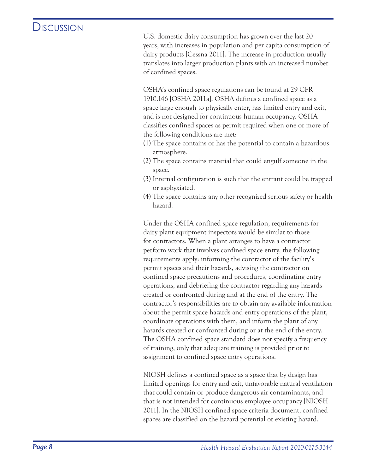### **DISCUSSION**

U.S. domestic dairy consumption has grown over the last 20 years, with increases in population and per capita consumption of dairy products [Cessna 2011]. The increase in production usually translates into larger production plants with an increased number of confined spaces.

OSHA's confined space regulations can be found at 29 CFR 1910.146 [OSHA 2011a]. OSHA defines a confined space as a space large enough to physically enter, has limited entry and exit, and is not designed for continuous human occupancy. OSHA classifies confined spaces as permit required when one or more of the following conditions are met:

- (1) The space contains or has the potential to contain a hazardous atmosphere.
- (2) The space contains material that could engulf someone in the space.
- (3) Internal configuration is such that the entrant could be trapped or asphyxiated.
- (4) The space contains any other recognized serious safety or health hazard.

Under the OSHA confined space regulation, requirements for dairy plant equipment inspectors would be similar to those for contractors. When a plant arranges to have a contractor perform work that involves confined space entry, the following requirements apply: informing the contractor of the facility's permit spaces and their hazards, advising the contractor on confined space precautions and procedures, coordinating entry operations, and debriefing the contractor regarding any hazards created or confronted during and at the end of the entry. The contractor's responsibilities are to obtain any available information about the permit space hazards and entry operations of the plant, coordinate operations with them, and inform the plant of any hazards created or confronted during or at the end of the entry. The OSHA confined space standard does not specify a frequency of training, only that adequate training is provided prior to assignment to confined space entry operations.

NIOSH defines a confined space as a space that by design has limited openings for entry and exit, unfavorable natural ventilation that could contain or produce dangerous air contaminants, and that is not intended for continuous employee occupancy [NIOSH 2011]. In the NIOSH confined space criteria document, confined spaces are classified on the hazard potential or existing hazard.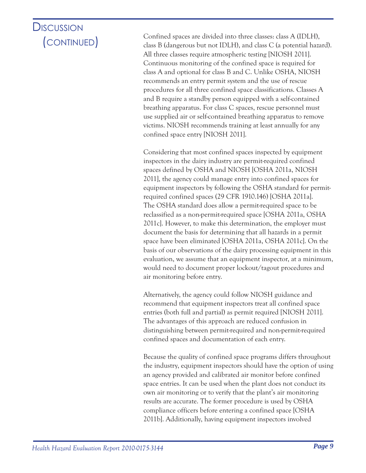## **DISCUSSION**

Confined spaces are divided into three classes: class A (IDLH),<br>class B (dangerous but not IDLH), and class C (a potential haza class B (dangerous but not IDLH), and class C (a potential hazard). All three classes require atmospheric testing [NIOSH 2011]. Continuous monitoring of the confined space is required for class A and optional for class B and C. Unlike OSHA, NIOSH recommends an entry permit system and the use of rescue procedures for all three confined space classifications. Classes A and B require a standby person equipped with a self-contained breathing apparatus. For class C spaces, rescue personnel must use supplied air or self-contained breathing apparatus to remove victims. NIOSH recommends training at least annually for any confined space entry [NIOSH 2011].

> Considering that most confined spaces inspected by equipment inspectors in the dairy industry are permit-required confined spaces defined by OSHA and NIOSH [OSHA 2011a, NIOSH 2011], the agency could manage entry into confined spaces for equipment inspectors by following the OSHA standard for permitrequired confined spaces (29 CFR 1910.146) [OSHA 2011a]. The OSHA standard does allow a permit-required space to be reclassified as a non-permit-required space [OSHA 2011a, OSHA 2011c]. However, to make this determination, the employer must document the basis for determining that all hazards in a permit space have been eliminated [OSHA 2011a, OSHA 2011c]. On the basis of our observations of the dairy processing equipment in this evaluation, we assume that an equipment inspector, at a minimum, would need to document proper lockout/tagout procedures and air monitoring before entry.

Alternatively, the agency could follow NIOSH guidance and recommend that equipment inspectors treat all confined space entries (both full and partial) as permit required [NIOSH 2011]. The advantages of this approach are reduced confusion in distinguishing between permit-required and non-permit-required confined spaces and documentation of each entry.

Because the quality of confined space programs differs throughout the industry, equipment inspectors should have the option of using an agency provided and calibrated air monitor before confined space entries. It can be used when the plant does not conduct its own air monitoring or to verify that the plant's air monitoring results are accurate. The former procedure is used by OSHA compliance officers before entering a confined space [OSHA 2011b]. Additionally, having equipment inspectors involved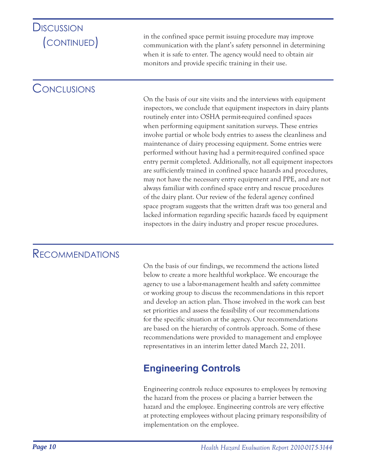### **Discussion** (continued)

in the confined space permit issuing procedure may improve communication with the plant's safety personnel in determining when it is safe to enter. The agency would need to obtain air monitors and provide specific training in their use.

### **CONCLUSIONS**

On the basis of our site visits and the interviews with equipment inspectors, we conclude that equipment inspectors in dairy plants routinely enter into OSHA permit-required confined spaces when performing equipment sanitation surveys. These entries involve partial or whole body entries to assess the cleanliness and maintenance of dairy processing equipment. Some entries were performed without having had a permit-required confined space entry permit completed. Additionally, not all equipment inspectors are sufficiently trained in confined space hazards and procedures, may not have the necessary entry equipment and PPE, and are not always familiar with confined space entry and rescue procedures of the dairy plant. Our review of the federal agency confined space program suggests that the written draft was too general and lacked information regarding specific hazards faced by equipment inspectors in the dairy industry and proper rescue procedures.

#### Recommendations

On the basis of our findings, we recommend the actions listed below to create a more healthful workplace. We encourage the agency to use a labor-management health and safety committee or working group to discuss the recommendations in this report and develop an action plan. Those involved in the work can best set priorities and assess the feasibility of our recommendations for the specific situation at the agency. Our recommendations are based on the hierarchy of controls approach. Some of these recommendations were provided to management and employee representatives in an interim letter dated March 22, 2011.

#### **Engineering Controls**

Engineering controls reduce exposures to employees by removing the hazard from the process or placing a barrier between the hazard and the employee. Engineering controls are very effective at protecting employees without placing primary responsibility of implementation on the employee.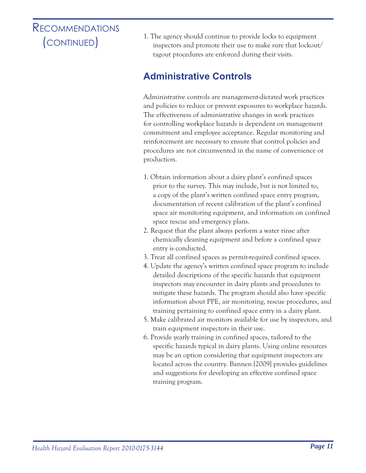### Recommendations (continued)

1. The agency should continue to provide locks to equipment inspectors and promote their use to make sure that lockout/ tagout procedures are enforced during their visits.

#### **Administrative Controls**

Administrative controls are management-dictated work practices and policies to reduce or prevent exposures to workplace hazards. The effectiveness of administrative changes in work practices for controlling workplace hazards is dependent on management commitment and employee acceptance. Regular monitoring and reinforcement are necessary to ensure that control policies and procedures are not circumvented in the name of convenience or production.

- 1. Obtain information about a dairy plant's confined spaces prior to the survey. This may include, but is not limited to, a copy of the plant's written confined space entry program, documentation of recent calibration of the plant's confined space air monitoring equipment, and information on confined space rescue and emergency plans.
- 2. Request that the plant always perform a water rinse after chemically cleaning equipment and before a confined space entry is conducted.
- 3. Treat all confined spaces as permit-required confined spaces.
- 4. Update the agency's written confined space program to include detailed descriptions of the specific hazards that equipment inspectors may encounter in dairy plants and procedures to mitigate these hazards. The program should also have specific information about PPE, air monitoring, rescue procedures, and training pertaining to confined space entry in a dairy plant.
- 5. Make calibrated air monitors available for use by inspectors, and train equipment inspectors in their use.
- 6. Provide yearly training in confined spaces, tailored to the specific hazards typical in dairy plants. Using online resources may be an option considering that equipment inspectors are located across the country. Bannen [2009] provides guidelines and suggestions for developing an effective confined space training program.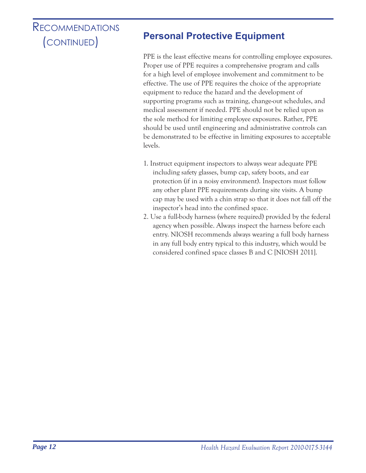## Recommendations

## (continued) **Personal Protective Equipment**

PPE is the least effective means for controlling employee exposures. Proper use of PPE requires a comprehensive program and calls for a high level of employee involvement and commitment to be effective. The use of PPE requires the choice of the appropriate equipment to reduce the hazard and the development of supporting programs such as training, change-out schedules, and medical assessment if needed. PPE should not be relied upon as the sole method for limiting employee exposures. Rather, PPE should be used until engineering and administrative controls can be demonstrated to be effective in limiting exposures to acceptable levels.

- 1. Instruct equipment inspectors to always wear adequate PPE including safety glasses, bump cap, safety boots, and ear protection (if in a noisy environment). Inspectors must follow any other plant PPE requirements during site visits. A bump cap may be used with a chin strap so that it does not fall off the inspector's head into the confined space.
- 2. Use a full-body harness (where required) provided by the federal agency when possible. Always inspect the harness before each entry. NIOSH recommends always wearing a full body harness in any full body entry typical to this industry, which would be considered confined space classes B and C [NIOSH 2011].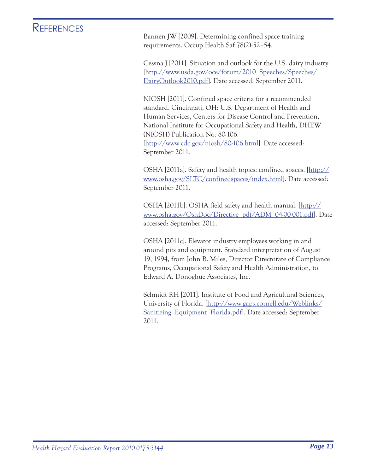### **REFERENCES**

Bannen JW [2009]. Determining confined space training requirements. Occup Health Saf 78(2):52–54.

Cessna J [2011]. Situation and outlook for the U.S. dairy industry. [\[http://www.usda.gov/oce/forum/2010\\_Speeches/Speeches/](http://www.usda.gov/oce/forum/2010_Speeches/Speeches/DairyOutlook2010.pdf) [DairyOutlook2010.pdf](http://www.usda.gov/oce/forum/2010_Speeches/Speeches/DairyOutlook2010.pdf)]. Date accessed: September 2011.

NIOSH [2011]. Confined space criteria for a recommended standard. Cincinnati, OH: U.S. Department of Health and Human Services, Centers for Disease Control and Prevention, National Institute for Occupational Safety and Health, DHEW (NIOSH) Publication No. 80-106. [\[http://www.cdc.gov/niosh/80-106.html](http://www.cdc.gov/niosh/80-106.html)]. Date accessed: September 2011.

OSHA [2011a]. Safety and health topics: confined spaces. [\[http://](http://www.osha.gov/SLTC/confinedspaces/index.html) [www.osha.gov/SLTC/confinedspaces/index.html](http://www.osha.gov/SLTC/confinedspaces/index.html)]. Date accessed: September 2011.

OSHA [2011b]. OSHA field safety and health manual. [[http://](householdproducts.nlm.nih.gov/) [www.osha.gov/OshDoc/Directive\\_pdf/ADM\\_04-00-001.pdf\].](householdproducts.nlm.nih.gov/) Date accessed: September 2011.

OSHA [2011c]. Elevator industry employees working in and around pits and equipment. Standard interpretation of August 19, 1994, from John B. Miles, Director Directorate of Compliance Programs, Occupational Safety and Health Administration, to Edward A. Donoghue Associates, Inc.

Schmidt RH [2011]. Institute of Food and Agricultural Sciences, University of Florida. [[http://www.gaps.cornell.edu/Weblinks/](http://www.gaps.cornell.edu/Weblinks/Sanitizing_Equipment_Florida.pdf) [Sanitizing\\_Equipment\\_Florida.pdf\]](http://www.gaps.cornell.edu/Weblinks/Sanitizing_Equipment_Florida.pdf). Date accessed: September 2011.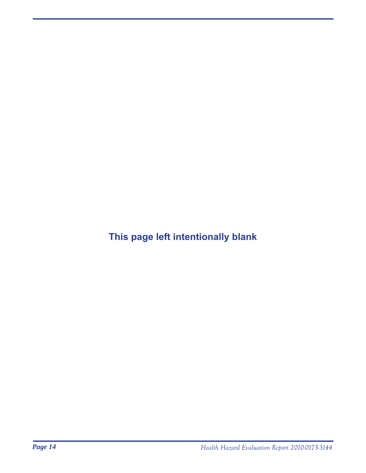**This page left intentionally blank**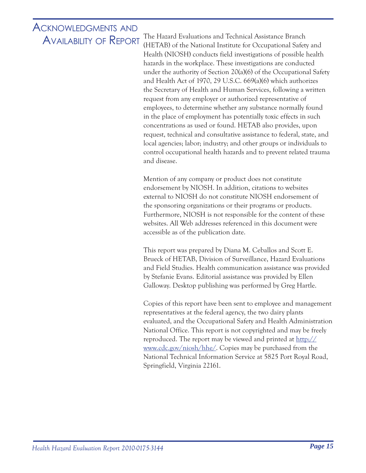## Acknowledgments and

Availability of Report The Hazard Evaluations and Technical Assistance Branch (HETAB) of the National Institute for Occupational Safety and Health (NIOSH) conducts field investigations of possible health hazards in the workplace. These investigations are conducted under the authority of Section 20(a)(6) of the Occupational Safety and Health Act of 1970, 29 U.S.C. 669(a)(6) which authorizes the Secretary of Health and Human Services, following a written request from any employer or authorized representative of employees, to determine whether any substance normally found in the place of employment has potentially toxic effects in such concentrations as used or found. HETAB also provides, upon request, technical and consultative assistance to federal, state, and local agencies; labor; industry; and other groups or individuals to control occupational health hazards and to prevent related trauma and disease.

> Mention of any company or product does not constitute endorsement by NIOSH. In addition, citations to websites external to NIOSH do not constitute NIOSH endorsement of the sponsoring organizations or their programs or products. Furthermore, NIOSH is not responsible for the content of these websites. All Web addresses referenced in this document were accessible as of the publication date.

This report was prepared by Diana M. Ceballos and Scott E. Brueck of HETAB, Division of Surveillance, Hazard Evaluations and Field Studies. Health communication assistance was provided by Stefanie Evans. Editorial assistance was provided by Ellen Galloway. Desktop publishing was performed by Greg Hartle.

Copies of this report have been sent to employee and management representatives at the federal agency, the two dairy plants evaluated, and the Occupational Safety and Health Administration National Office. This report is not copyrighted and may be freely reproduced. The report may be viewed and printed at [http://](http://www.cdc.gov/niosh/hhe/) [www.cdc.gov/niosh/hhe/](http://www.cdc.gov/niosh/hhe/). Copies may be purchased from the National Technical Information Service at 5825 Port Royal Road, Springfield, Virginia 22161.